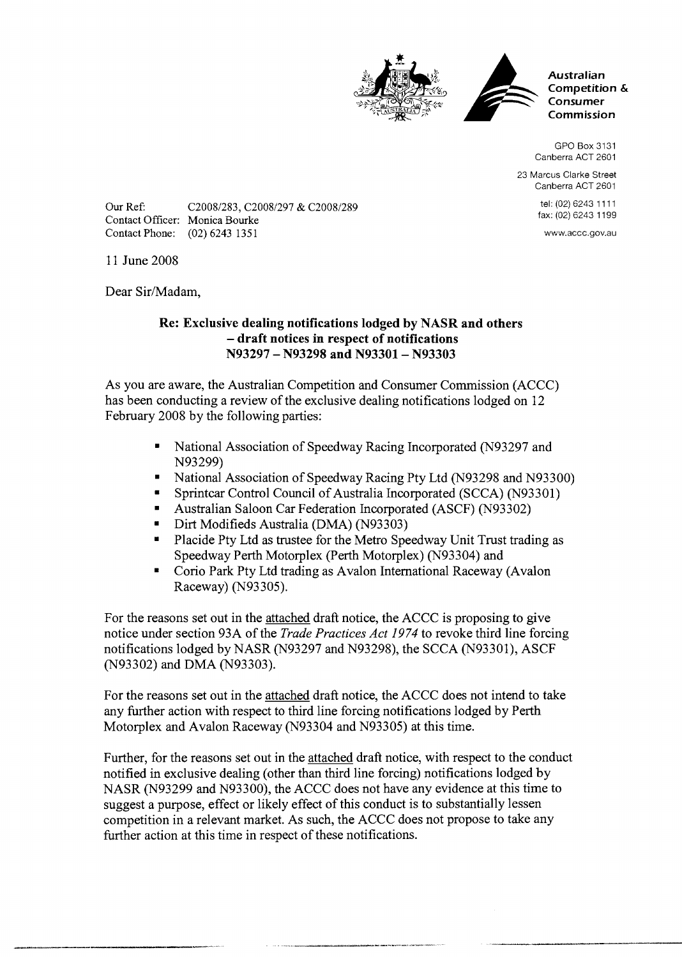



**Australian Competition** & **Consumer Commission** 

GPO Box 3131 Canberra ACT 2601

23 Marcus Clarke Street Canberra ACT 2601

> tel: (02) 6243 11 11 fax: (02) 6243 1199

www.accc.gov.au

Our Ref: C20081283, C20081297 & C20081289 Contact Officer: Monica Bourke Contact Phone: (02) 6243 1351

11 June 2008

Dear Sir/Madam,

## **Re: Exclusive dealing notifications lodged by NASR and others**  - **draft notices in respect of notifications N93297** - **N93298 and N93301- N93303**

As you are aware, the Australian Competition and Consumer Commission (ACCC) has been conducting a review of the exclusive dealing notifications lodged on 12 February 2008 by the following parties:

- National Association of Speedway Racing Incorporated (N93297 and N93299)
- National Association of Speedway Racing Pty Ltd (N93298 and N93300)
- Sprintcar Control Council of Australia Incorporated (SCCA) (N93301)  $\bullet$  .
- Australian Saloon Car Federation Incorporated (ASCF) (N93302)
- Dirt Modifieds Australia (DMA) (N93303)  $\blacksquare$
- **Placide Pty Ltd as trustee for the Metro Speedway Unit Trust trading as** Speedway Perth Motorplex (Perth Motorplex) (N93304) and
- Corio Park Pty Ltd trading as Avalon International Raceway (Avalon Raceway) (N93305).

For the reasons set out in the attached draft notice, the ACCC is proposing to give notice under section 93A of the *Trade Practices Act 1974* to revoke third line forcing notifications lodged by NASR (N93297 and N93298), the SCCA (N93301), ASCF (N93302) and DMA (N93303).

For the reasons set out in the attached draft notice, the ACCC does not intend to take any further action with respect to third line forcing notifications lodged by Perth Motorplex and Avalon Raceway (N93304 and N93305) at this time.

Further, for the reasons set out in the attached draft notice, with respect to the conduct notified in exclusive dealing (other than third line forcing) notifications lodged by NASR (N93299 and N93300), the ACCC does not have any evidence at this time to suggest a purpose, effect or likely effect of this conduct is to substantially lessen competition in a relevant market. As such, the ACCC does not propose to take any further action at this time in respect of these notifications.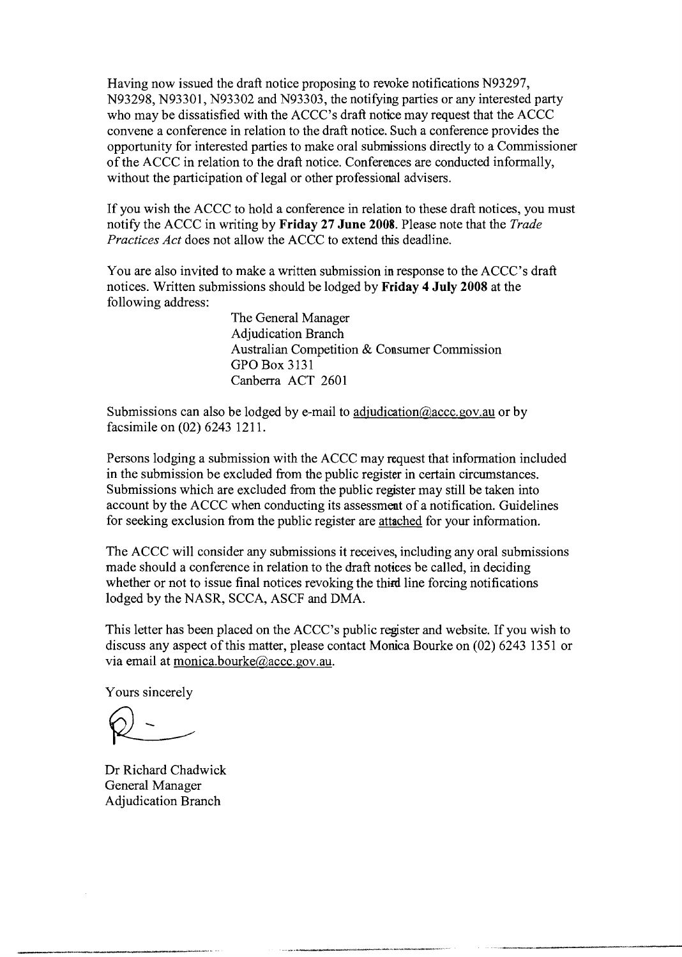Having now issued the draft notice proposing to revoke notifications N93297, N93298, N93301, N93302 and N93303, the notifying parties or any interested party who may be dissatisfied with the ACCC's draft notice may request that the ACCC convene a conference in relation to the draft notice. Such a conference provides the opportunity for interested parties to make oral submissions directly to a Commissioner of the ACCC in relation to the draft notice. Conferences are conducted informally, without the participation of legal or other professional advisers.

If you wish the ACCC to hold a conference in relation to these draft notices, you must notify the ACCC in writing by **Friday 27 June 2008.** Please note that the *Trade Practices Act* does not allow the ACCC to extend this deadline.

You are also invited to make a written submission in response to the ACCC's draft notices. Written submissions should be lodged by **Friday** 4 **July 2008** at the following address:

> The General Manager Adjudication Branch Australian Competition & Consumer Commission GPO Box 3131 Canberra ACT 2601

Submissions can also be lodged by e-mail to adjudication  $@$  accc. gov. au or by facsimile on (02) 6243 1211.

Persons lodging a submission with the ACCC may request that information included in the submission be excluded from the public register in certain circumstances. Submissions which are excluded from the public register may still be taken into account by the ACCC when conducting its assessment of a notification. Guidelines for seeking exclusion from the public register are attached for your information.

The ACCC will consider any submissions it receives, including any oral submissions made should a conference in relation to the draft notices be called, in deciding whether or not to issue final notices revoking the third line forcing notifications lodged by the NASR, SCCA, ASCF and DMA.

This letter has been placed on the ACCC's public register and website. If you wish to discuss any aspect of this matter, please contact Monica Bourke on (02) 6243 1351 or via email at monica.bourke@accc.gov.au.

Yours sincerely

Dr Richard Chadwick General Manager Adjudication Branch